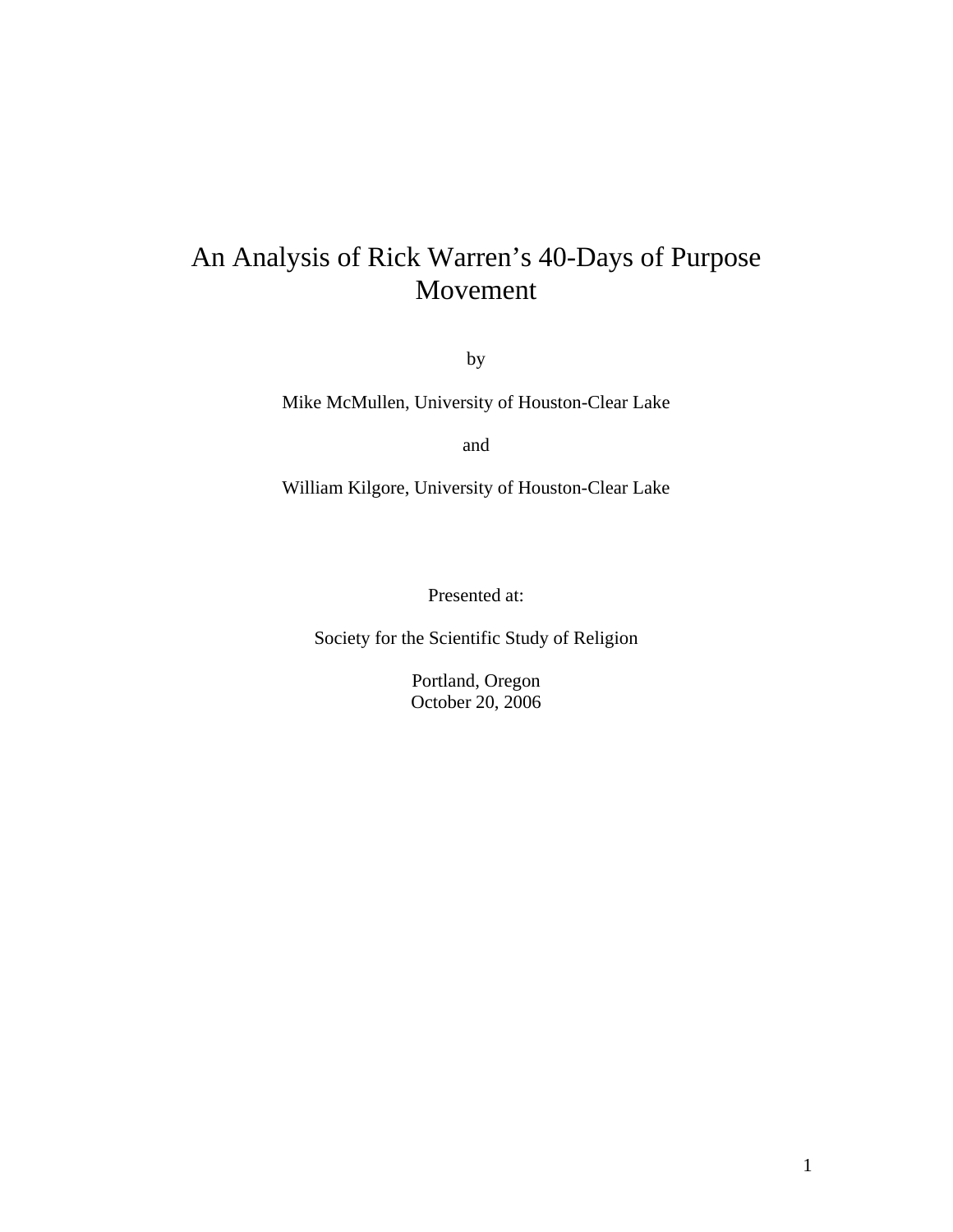# An Analysis of Rick Warren's 40-Days of Purpose Movement

by

Mike McMullen, University of Houston-Clear Lake

and

William Kilgore, University of Houston-Clear Lake

Presented at:

Society for the Scientific Study of Religion

Portland, Oregon October 20, 2006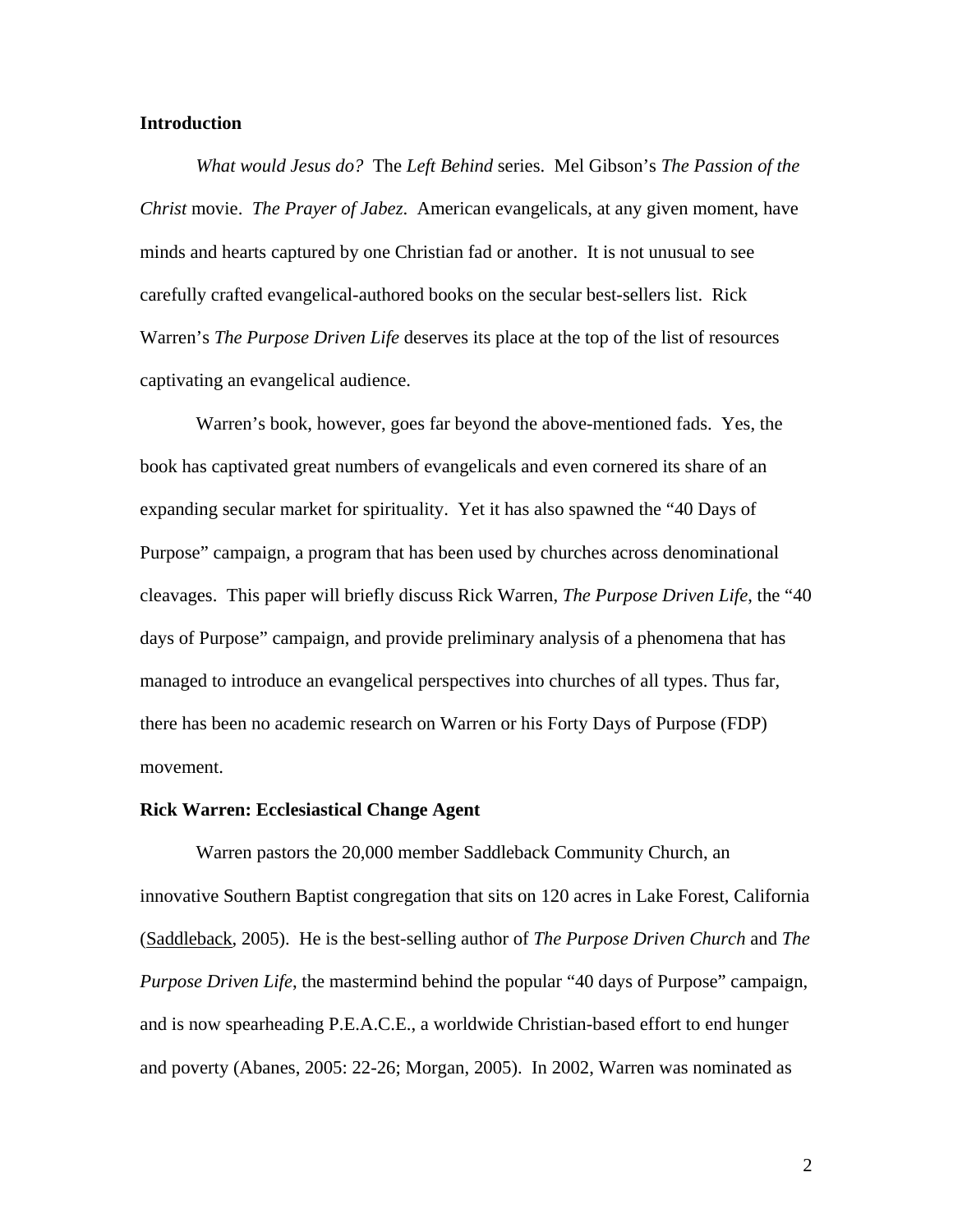## **Introduction**

*What would Jesus do?* The *Left Behind* series. Mel Gibson's *The Passion of the Christ* movie. *The Prayer of Jabez*. American evangelicals, at any given moment, have minds and hearts captured by one Christian fad or another. It is not unusual to see carefully crafted evangelical-authored books on the secular best-sellers list. Rick Warren's *The Purpose Driven Life* deserves its place at the top of the list of resources captivating an evangelical audience.

Warren's book, however, goes far beyond the above-mentioned fads. Yes, the book has captivated great numbers of evangelicals and even cornered its share of an expanding secular market for spirituality. Yet it has also spawned the "40 Days of Purpose" campaign, a program that has been used by churches across denominational cleavages. This paper will briefly discuss Rick Warren, *The Purpose Driven Life*, the "40 days of Purpose" campaign, and provide preliminary analysis of a phenomena that has managed to introduce an evangelical perspectives into churches of all types. Thus far, there has been no academic research on Warren or his Forty Days of Purpose (FDP) movement.

#### **Rick Warren: Ecclesiastical Change Agent**

 Warren pastors the 20,000 member Saddleback Community Church, an innovative Southern Baptist congregation that sits on 120 acres in Lake Forest, California (Saddleback, 2005). He is the best-selling author of *The Purpose Driven Church* and *The Purpose Driven Life*, the mastermind behind the popular "40 days of Purpose" campaign, and is now spearheading P.E.A.C.E., a worldwide Christian-based effort to end hunger and poverty (Abanes, 2005: 22-26; Morgan, 2005). In 2002, Warren was nominated as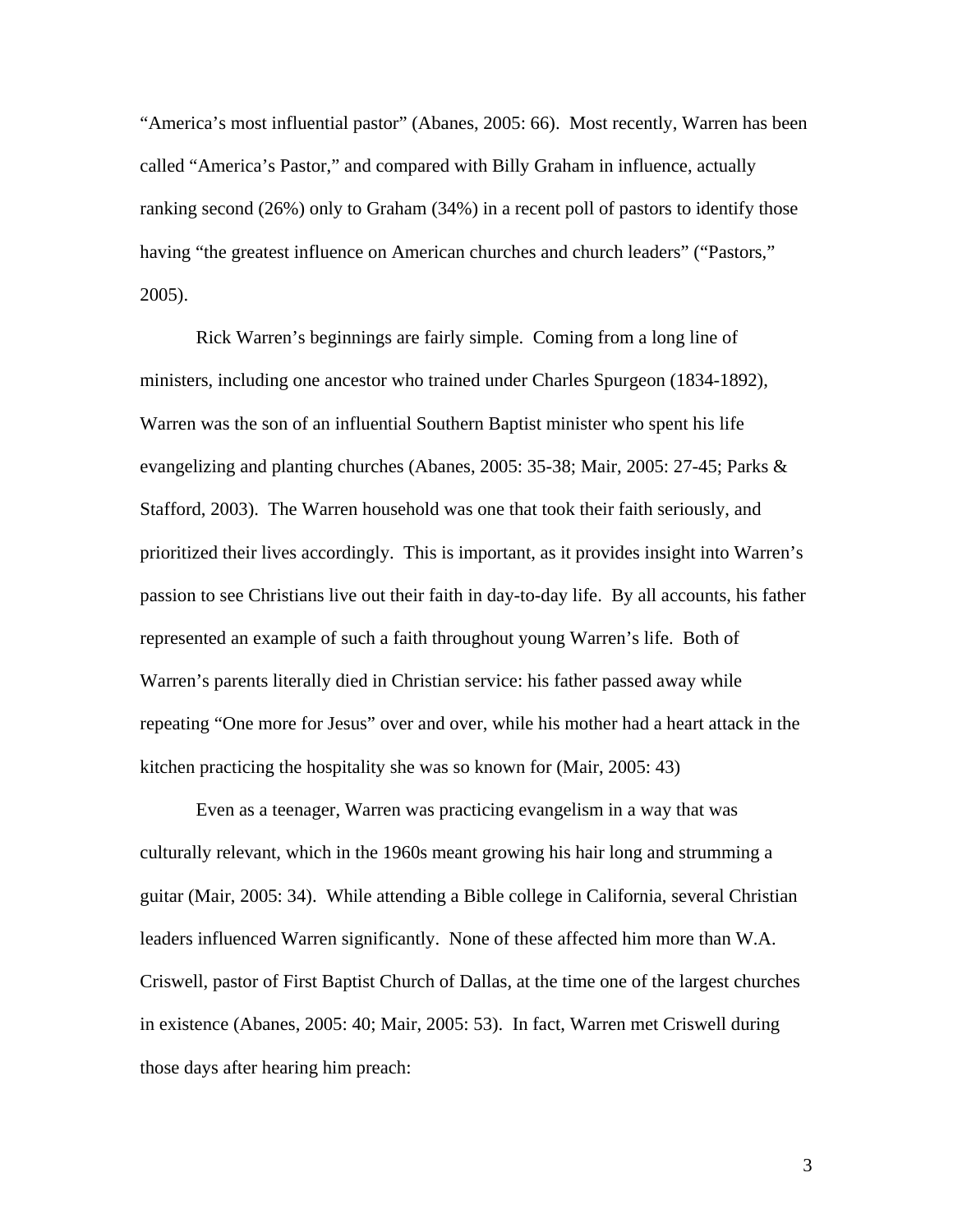"America's most influential pastor" (Abanes, 2005: 66). Most recently, Warren has been called "America's Pastor," and compared with Billy Graham in influence, actually ranking second (26%) only to Graham (34%) in a recent poll of pastors to identify those having "the greatest influence on American churches and church leaders" ("Pastors," 2005).

 Rick Warren's beginnings are fairly simple. Coming from a long line of ministers, including one ancestor who trained under Charles Spurgeon (1834-1892), Warren was the son of an influential Southern Baptist minister who spent his life evangelizing and planting churches (Abanes, 2005: 35-38; Mair, 2005: 27-45; Parks & Stafford, 2003). The Warren household was one that took their faith seriously, and prioritized their lives accordingly. This is important, as it provides insight into Warren's passion to see Christians live out their faith in day-to-day life. By all accounts, his father represented an example of such a faith throughout young Warren's life. Both of Warren's parents literally died in Christian service: his father passed away while repeating "One more for Jesus" over and over, while his mother had a heart attack in the kitchen practicing the hospitality she was so known for (Mair, 2005: 43)

 Even as a teenager, Warren was practicing evangelism in a way that was culturally relevant, which in the 1960s meant growing his hair long and strumming a guitar (Mair, 2005: 34). While attending a Bible college in California, several Christian leaders influenced Warren significantly. None of these affected him more than W.A. Criswell, pastor of First Baptist Church of Dallas, at the time one of the largest churches in existence (Abanes, 2005: 40; Mair, 2005: 53). In fact, Warren met Criswell during those days after hearing him preach: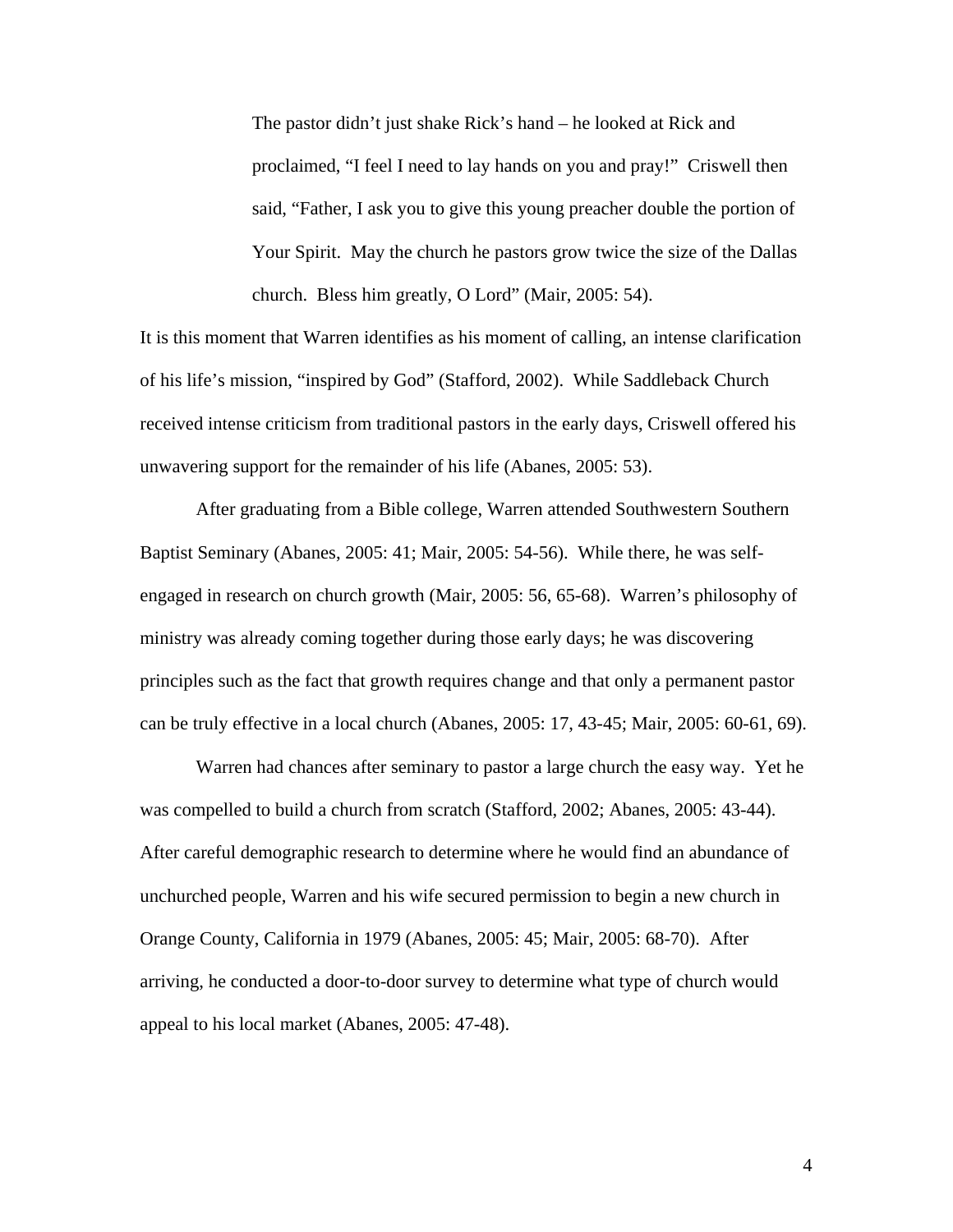The pastor didn't just shake Rick's hand – he looked at Rick and proclaimed, "I feel I need to lay hands on you and pray!" Criswell then said, "Father, I ask you to give this young preacher double the portion of Your Spirit. May the church he pastors grow twice the size of the Dallas church. Bless him greatly, O Lord" (Mair, 2005: 54).

It is this moment that Warren identifies as his moment of calling, an intense clarification of his life's mission, "inspired by God" (Stafford, 2002). While Saddleback Church received intense criticism from traditional pastors in the early days, Criswell offered his unwavering support for the remainder of his life (Abanes, 2005: 53).

After graduating from a Bible college, Warren attended Southwestern Southern Baptist Seminary (Abanes, 2005: 41; Mair, 2005: 54-56). While there, he was selfengaged in research on church growth (Mair, 2005: 56, 65-68). Warren's philosophy of ministry was already coming together during those early days; he was discovering principles such as the fact that growth requires change and that only a permanent pastor can be truly effective in a local church (Abanes, 2005: 17, 43-45; Mair, 2005: 60-61, 69).

 Warren had chances after seminary to pastor a large church the easy way. Yet he was compelled to build a church from scratch (Stafford, 2002; Abanes, 2005: 43-44). After careful demographic research to determine where he would find an abundance of unchurched people, Warren and his wife secured permission to begin a new church in Orange County, California in 1979 (Abanes, 2005: 45; Mair, 2005: 68-70). After arriving, he conducted a door-to-door survey to determine what type of church would appeal to his local market (Abanes, 2005: 47-48).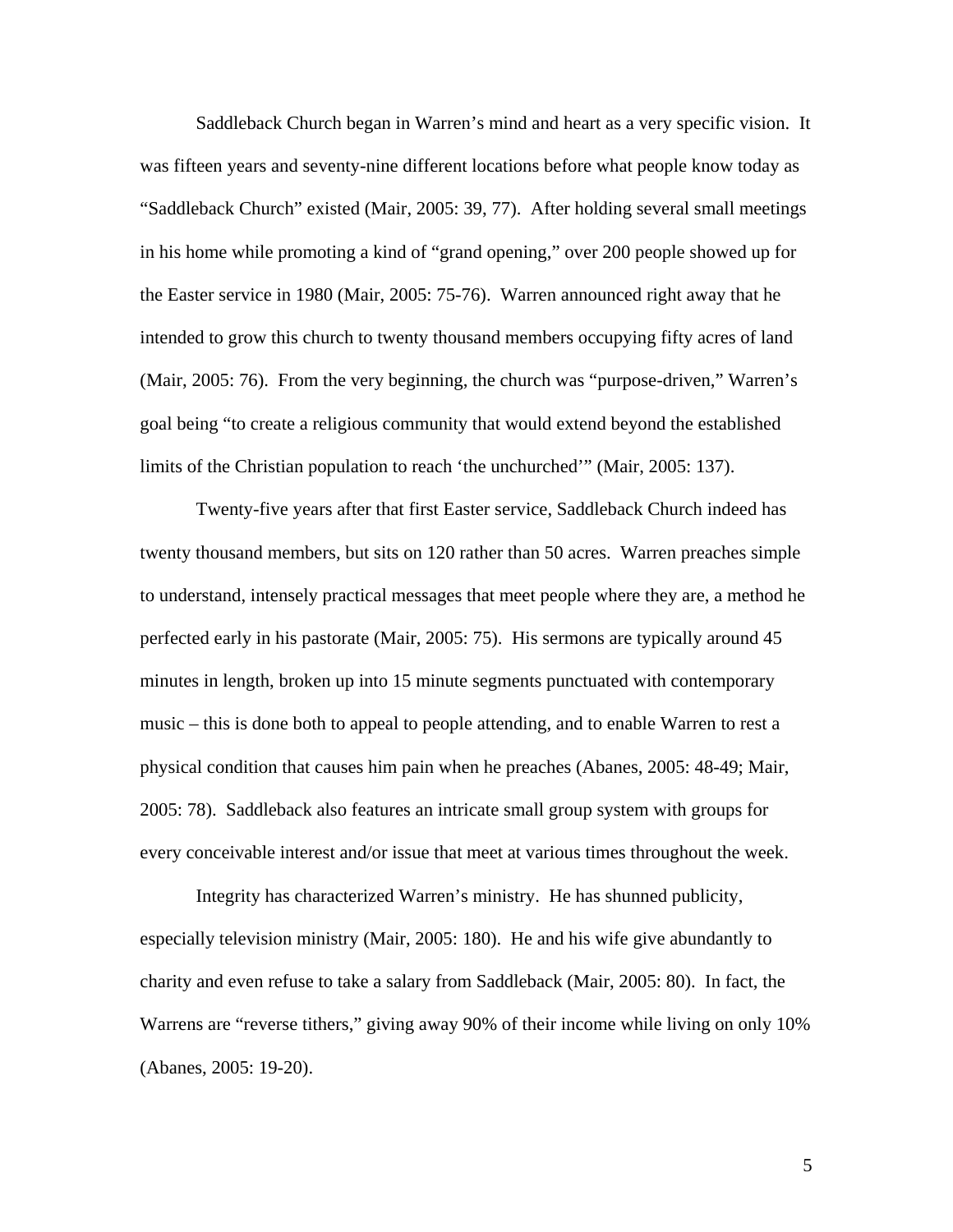Saddleback Church began in Warren's mind and heart as a very specific vision. It was fifteen years and seventy-nine different locations before what people know today as "Saddleback Church" existed (Mair, 2005: 39, 77). After holding several small meetings in his home while promoting a kind of "grand opening," over 200 people showed up for the Easter service in 1980 (Mair, 2005: 75-76). Warren announced right away that he intended to grow this church to twenty thousand members occupying fifty acres of land (Mair, 2005: 76). From the very beginning, the church was "purpose-driven," Warren's goal being "to create a religious community that would extend beyond the established limits of the Christian population to reach 'the unchurched'" (Mair, 2005: 137).

 Twenty-five years after that first Easter service, Saddleback Church indeed has twenty thousand members, but sits on 120 rather than 50 acres. Warren preaches simple to understand, intensely practical messages that meet people where they are, a method he perfected early in his pastorate (Mair, 2005: 75). His sermons are typically around 45 minutes in length, broken up into 15 minute segments punctuated with contemporary music – this is done both to appeal to people attending, and to enable Warren to rest a physical condition that causes him pain when he preaches (Abanes, 2005: 48-49; Mair, 2005: 78). Saddleback also features an intricate small group system with groups for every conceivable interest and/or issue that meet at various times throughout the week.

 Integrity has characterized Warren's ministry. He has shunned publicity, especially television ministry (Mair, 2005: 180). He and his wife give abundantly to charity and even refuse to take a salary from Saddleback (Mair, 2005: 80). In fact, the Warrens are "reverse tithers," giving away 90% of their income while living on only 10% (Abanes, 2005: 19-20).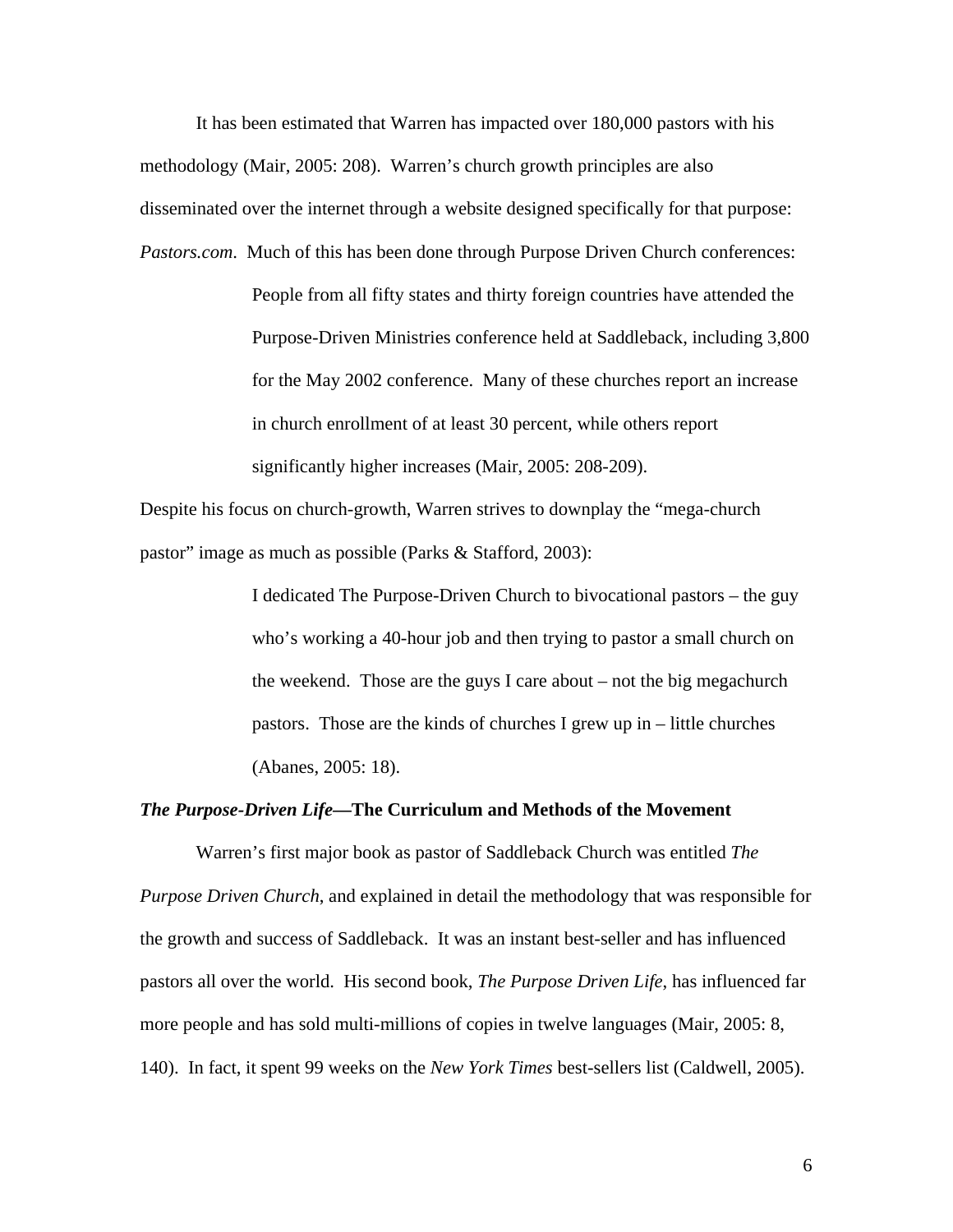It has been estimated that Warren has impacted over 180,000 pastors with his methodology (Mair, 2005: 208). Warren's church growth principles are also disseminated over the internet through a website designed specifically for that purpose: *Pastors.com*. Much of this has been done through Purpose Driven Church conferences:

> People from all fifty states and thirty foreign countries have attended the Purpose-Driven Ministries conference held at Saddleback, including 3,800 for the May 2002 conference. Many of these churches report an increase in church enrollment of at least 30 percent, while others report significantly higher increases (Mair, 2005: 208-209).

Despite his focus on church-growth, Warren strives to downplay the "mega-church pastor" image as much as possible (Parks & Stafford, 2003):

> I dedicated The Purpose-Driven Church to bivocational pastors – the guy who's working a 40-hour job and then trying to pastor a small church on the weekend. Those are the guys I care about – not the big megachurch pastors. Those are the kinds of churches I grew up in – little churches (Abanes, 2005: 18).

#### *The Purpose-Driven Life—***The Curriculum and Methods of the Movement**

Warren's first major book as pastor of Saddleback Church was entitled *The Purpose Driven Church*, and explained in detail the methodology that was responsible for the growth and success of Saddleback. It was an instant best-seller and has influenced pastors all over the world. His second book, *The Purpose Driven Life*, has influenced far more people and has sold multi-millions of copies in twelve languages (Mair, 2005: 8, 140). In fact, it spent 99 weeks on the *New York Times* best-sellers list (Caldwell, 2005).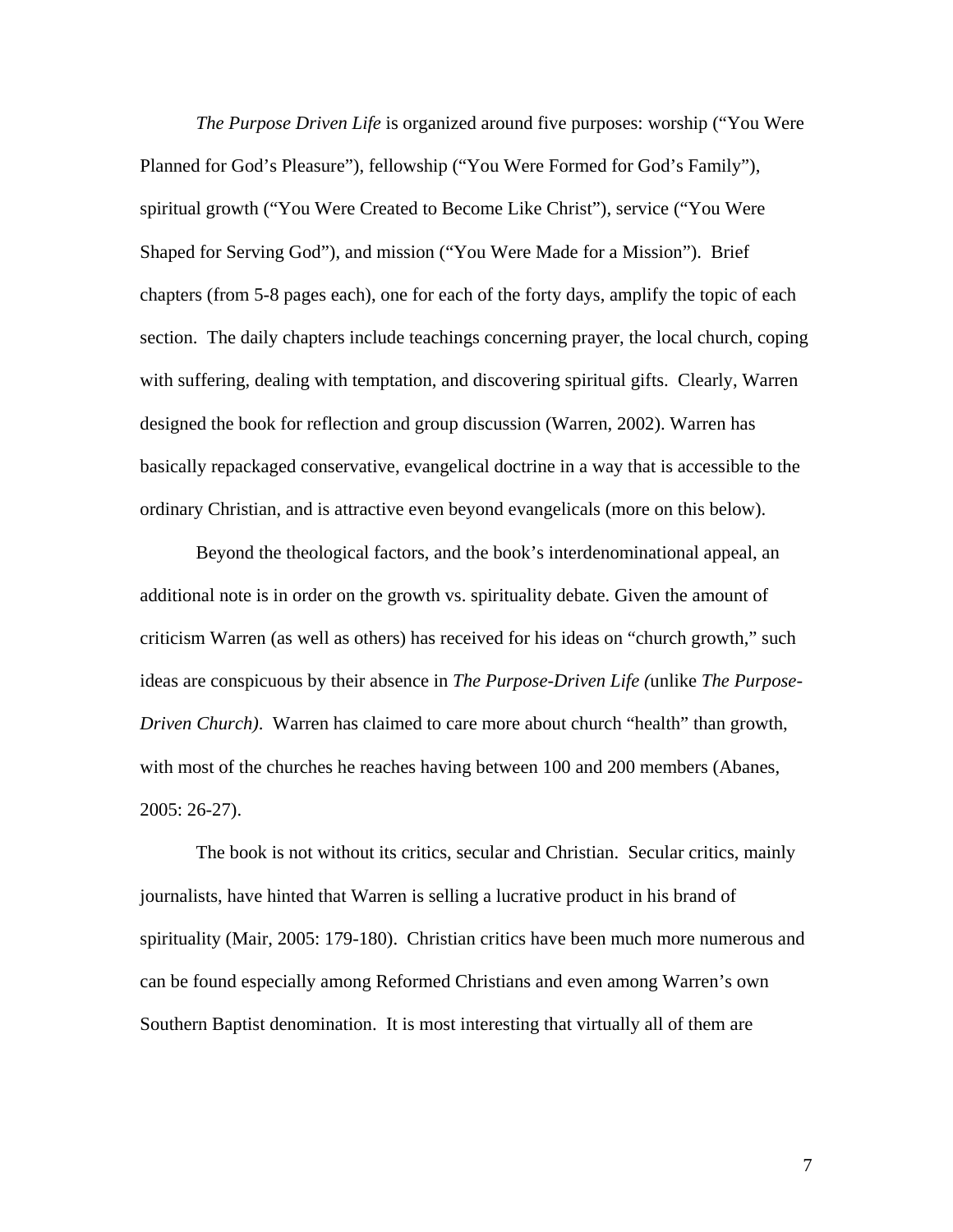*The Purpose Driven Life* is organized around five purposes: worship ("You Were Planned for God's Pleasure"), fellowship ("You Were Formed for God's Family"), spiritual growth ("You Were Created to Become Like Christ"), service ("You Were Shaped for Serving God"), and mission ("You Were Made for a Mission"). Brief chapters (from 5-8 pages each), one for each of the forty days, amplify the topic of each section. The daily chapters include teachings concerning prayer, the local church, coping with suffering, dealing with temptation, and discovering spiritual gifts. Clearly, Warren designed the book for reflection and group discussion (Warren, 2002). Warren has basically repackaged conservative, evangelical doctrine in a way that is accessible to the ordinary Christian, and is attractive even beyond evangelicals (more on this below).

 Beyond the theological factors, and the book's interdenominational appeal, an additional note is in order on the growth vs. spirituality debate. Given the amount of criticism Warren (as well as others) has received for his ideas on "church growth," such ideas are conspicuous by their absence in *The Purpose-Driven Life (*unlike *The Purpose-Driven Church)*. Warren has claimed to care more about church "health" than growth, with most of the churches he reaches having between 100 and 200 members (Abanes, 2005: 26-27).

 The book is not without its critics, secular and Christian. Secular critics, mainly journalists, have hinted that Warren is selling a lucrative product in his brand of spirituality (Mair, 2005: 179-180). Christian critics have been much more numerous and can be found especially among Reformed Christians and even among Warren's own Southern Baptist denomination. It is most interesting that virtually all of them are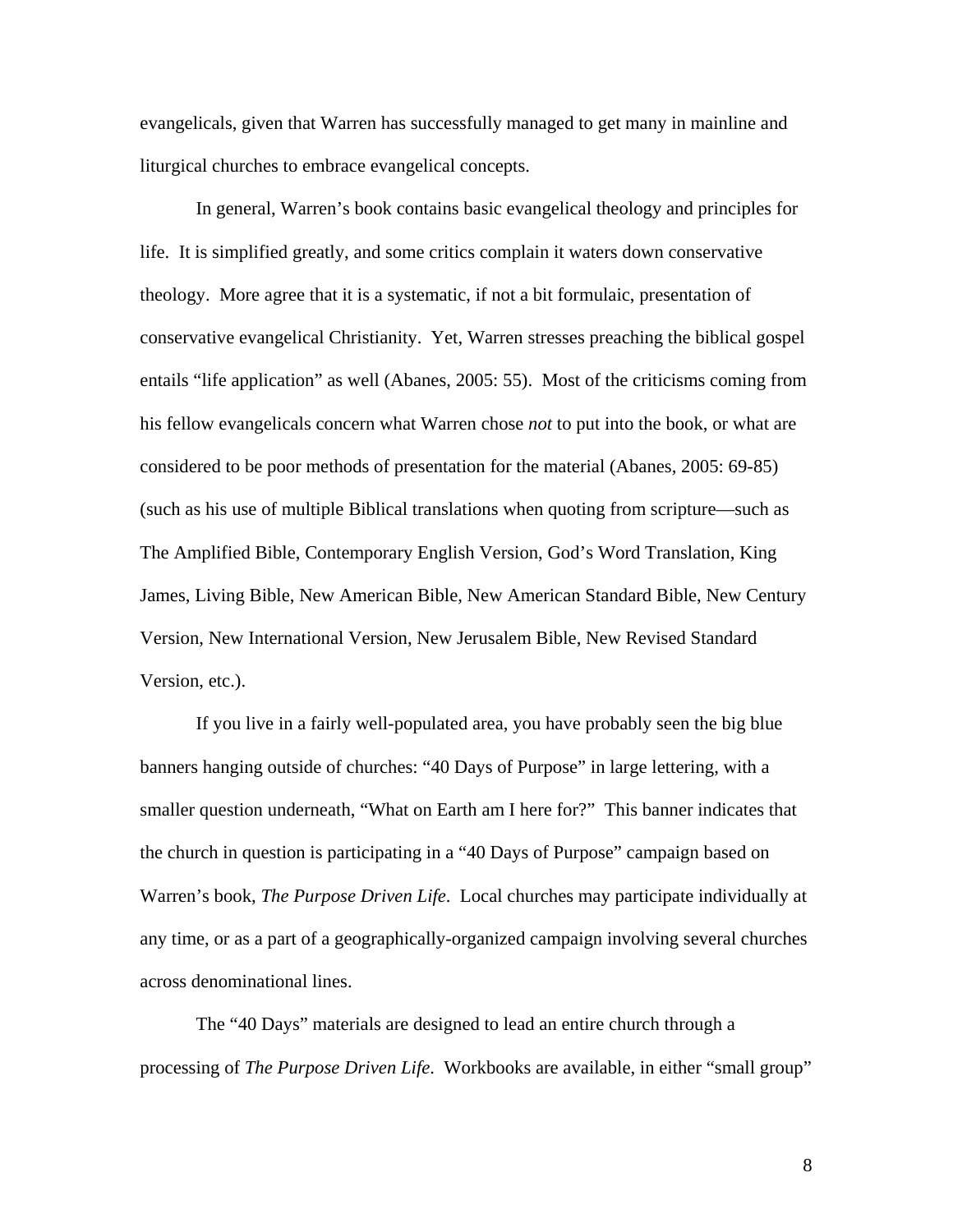evangelicals, given that Warren has successfully managed to get many in mainline and liturgical churches to embrace evangelical concepts.

 In general, Warren's book contains basic evangelical theology and principles for life. It is simplified greatly, and some critics complain it waters down conservative theology. More agree that it is a systematic, if not a bit formulaic, presentation of conservative evangelical Christianity. Yet, Warren stresses preaching the biblical gospel entails "life application" as well (Abanes, 2005: 55). Most of the criticisms coming from his fellow evangelicals concern what Warren chose *not* to put into the book, or what are considered to be poor methods of presentation for the material (Abanes, 2005: 69-85) (such as his use of multiple Biblical translations when quoting from scripture—such as The Amplified Bible, Contemporary English Version, God's Word Translation, King James, Living Bible, New American Bible, New American Standard Bible, New Century Version, New International Version, New Jerusalem Bible, New Revised Standard Version, etc.).

 If you live in a fairly well-populated area, you have probably seen the big blue banners hanging outside of churches: "40 Days of Purpose" in large lettering, with a smaller question underneath, "What on Earth am I here for?" This banner indicates that the church in question is participating in a "40 Days of Purpose" campaign based on Warren's book, *The Purpose Driven Life*. Local churches may participate individually at any time, or as a part of a geographically-organized campaign involving several churches across denominational lines.

 The "40 Days" materials are designed to lead an entire church through a processing of *The Purpose Driven Life*. Workbooks are available, in either "small group"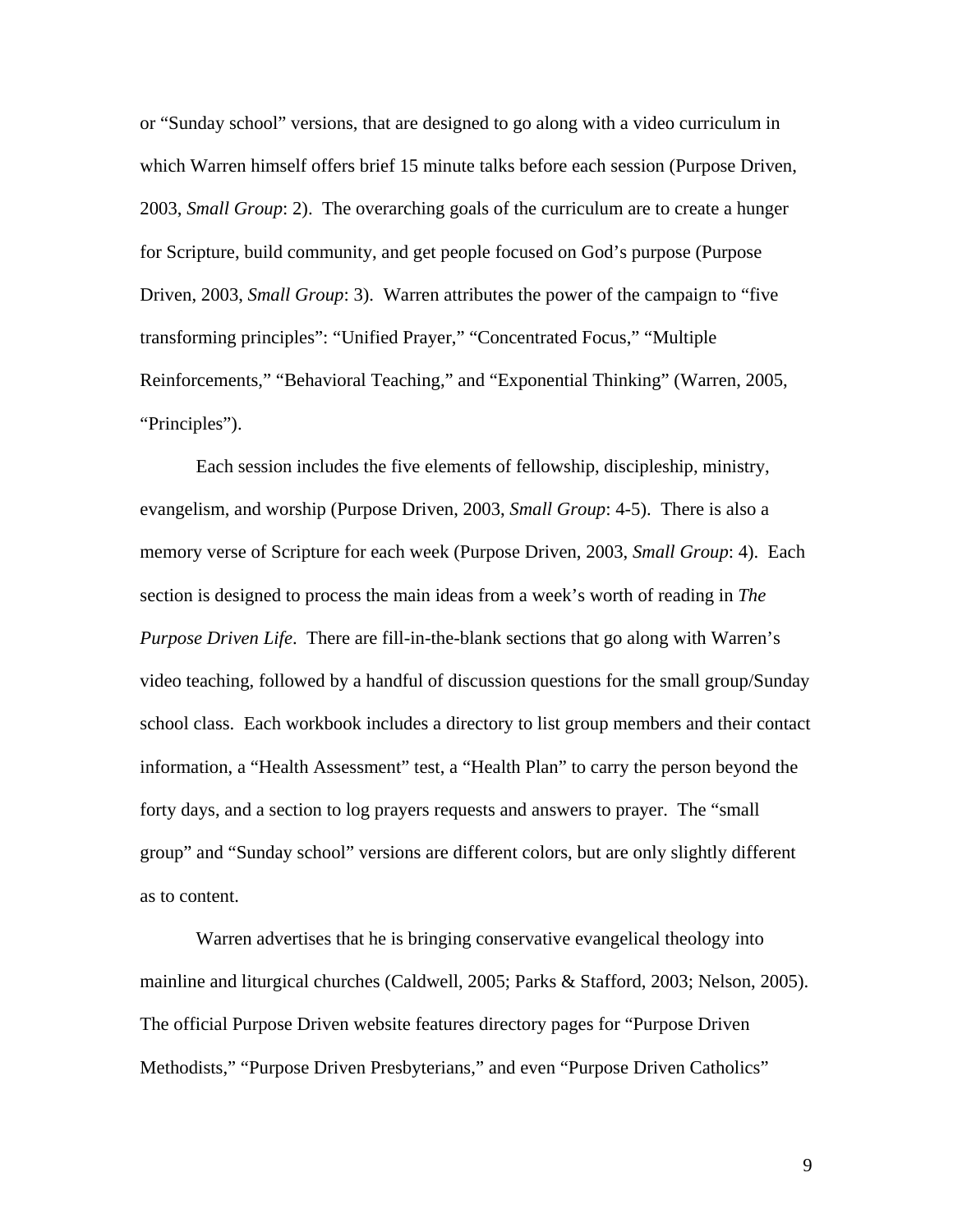or "Sunday school" versions, that are designed to go along with a video curriculum in which Warren himself offers brief 15 minute talks before each session (Purpose Driven, 2003, *Small Group*: 2). The overarching goals of the curriculum are to create a hunger for Scripture, build community, and get people focused on God's purpose (Purpose Driven, 2003, *Small Group*: 3). Warren attributes the power of the campaign to "five transforming principles": "Unified Prayer," "Concentrated Focus," "Multiple Reinforcements," "Behavioral Teaching," and "Exponential Thinking" (Warren, 2005, "Principles").

Each session includes the five elements of fellowship, discipleship, ministry, evangelism, and worship (Purpose Driven, 2003, *Small Group*: 4-5). There is also a memory verse of Scripture for each week (Purpose Driven, 2003, *Small Group*: 4). Each section is designed to process the main ideas from a week's worth of reading in *The Purpose Driven Life*. There are fill-in-the-blank sections that go along with Warren's video teaching, followed by a handful of discussion questions for the small group/Sunday school class. Each workbook includes a directory to list group members and their contact information, a "Health Assessment" test, a "Health Plan" to carry the person beyond the forty days, and a section to log prayers requests and answers to prayer. The "small group" and "Sunday school" versions are different colors, but are only slightly different as to content.

Warren advertises that he is bringing conservative evangelical theology into mainline and liturgical churches (Caldwell, 2005; Parks & Stafford, 2003; Nelson, 2005). The official Purpose Driven website features directory pages for "Purpose Driven Methodists," "Purpose Driven Presbyterians," and even "Purpose Driven Catholics"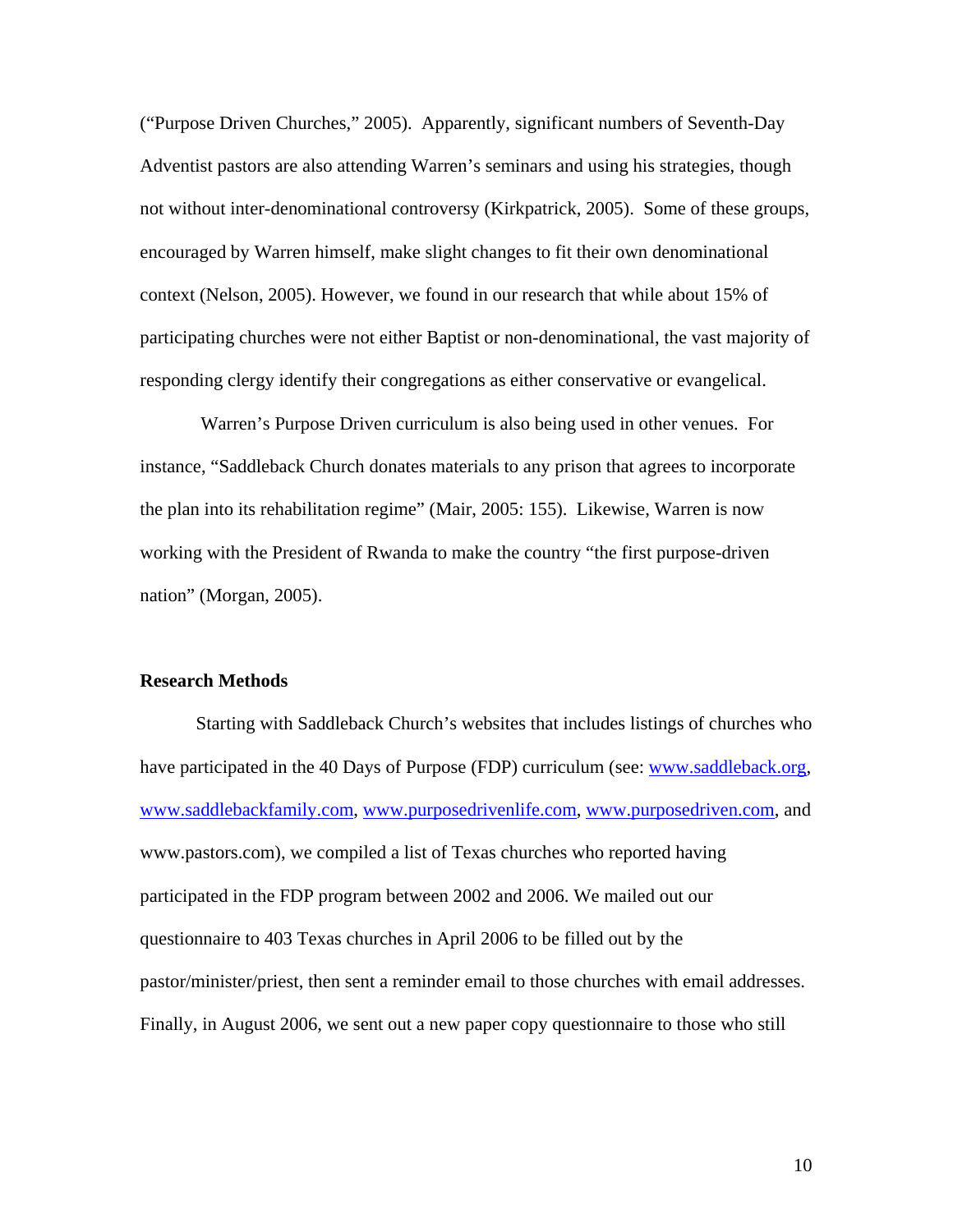("Purpose Driven Churches," 2005). Apparently, significant numbers of Seventh-Day Adventist pastors are also attending Warren's seminars and using his strategies, though not without inter-denominational controversy (Kirkpatrick, 2005). Some of these groups, encouraged by Warren himself, make slight changes to fit their own denominational context (Nelson, 2005). However, we found in our research that while about 15% of participating churches were not either Baptist or non-denominational, the vast majority of responding clergy identify their congregations as either conservative or evangelical.

 Warren's Purpose Driven curriculum is also being used in other venues. For instance, "Saddleback Church donates materials to any prison that agrees to incorporate the plan into its rehabilitation regime" (Mair, 2005: 155). Likewise, Warren is now working with the President of Rwanda to make the country "the first purpose-driven nation" (Morgan, 2005).

## **Research Methods**

 Starting with Saddleback Church's websites that includes listings of churches who have participated in the 40 Days of Purpose (FDP) curriculum (see: [www.saddleback.org](http://www.saddleback.org/), [www.saddlebackfamily.com](http://www.saddlebackfamily.com/), [www.purposedrivenlife.com,](http://www.purposedrivenlife.com/) [www.purposedriven.com,](http://www.purposedriven.com/) and www.pastors.com), we compiled a list of Texas churches who reported having participated in the FDP program between 2002 and 2006. We mailed out our questionnaire to 403 Texas churches in April 2006 to be filled out by the pastor/minister/priest, then sent a reminder email to those churches with email addresses. Finally, in August 2006, we sent out a new paper copy questionnaire to those who still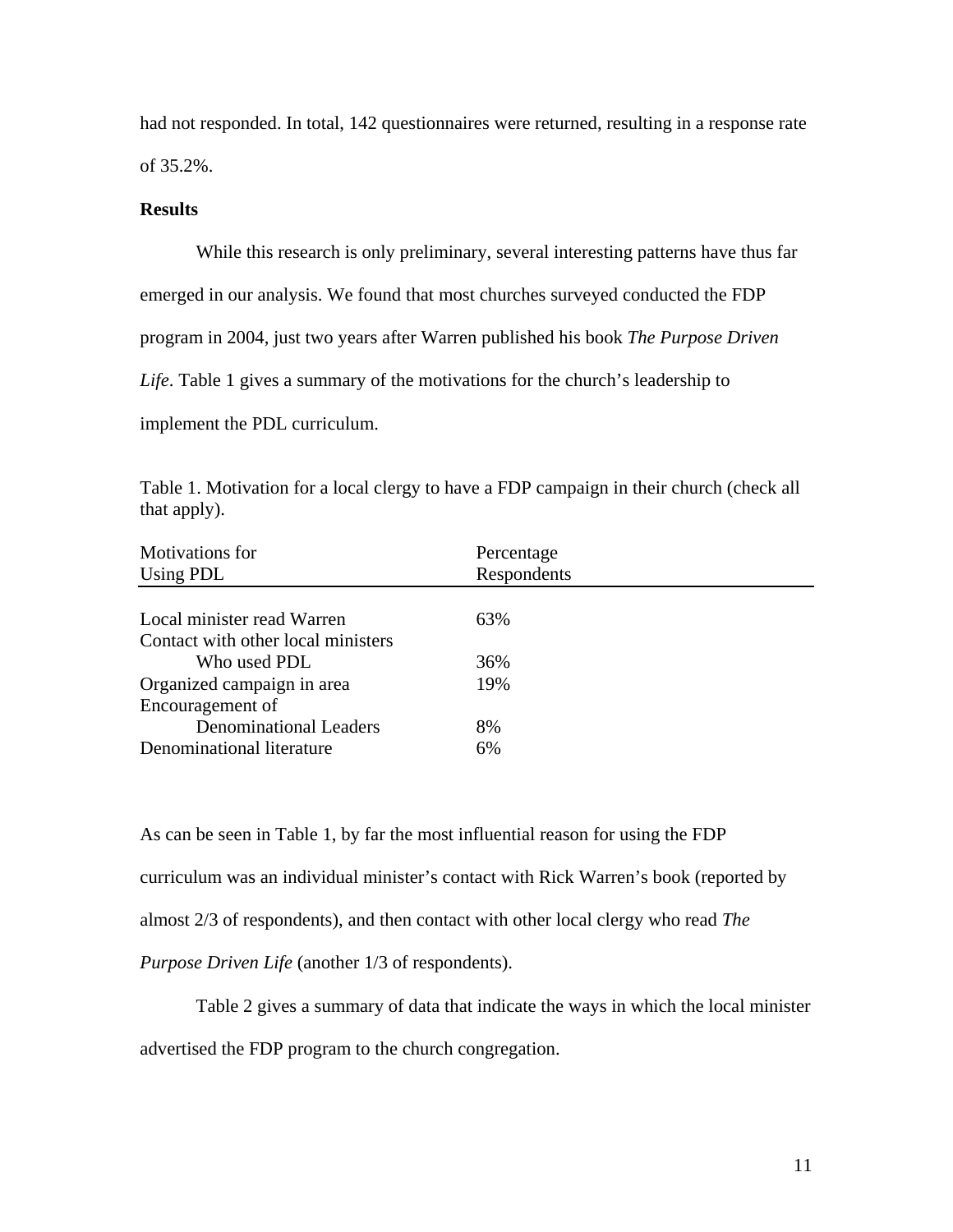had not responded. In total, 142 questionnaires were returned, resulting in a response rate of 35.2%.

## **Results**

 While this research is only preliminary, several interesting patterns have thus far emerged in our analysis. We found that most churches surveyed conducted the FDP program in 2004, just two years after Warren published his book *The Purpose Driven Life*. Table 1 gives a summary of the motivations for the church's leadership to implement the PDL curriculum.

Table 1. Motivation for a local clergy to have a FDP campaign in their church (check all that apply).

| <b>Motivations</b> for             | Percentage  |  |
|------------------------------------|-------------|--|
| Using PDL                          | Respondents |  |
|                                    |             |  |
| Local minister read Warren         | 63%         |  |
| Contact with other local ministers |             |  |
| Who used PDL                       | 36%         |  |
| Organized campaign in area         | 19%         |  |
| Encouragement of                   |             |  |
| <b>Denominational Leaders</b>      | 8%          |  |
| Denominational literature          | 6%          |  |

As can be seen in Table 1, by far the most influential reason for using the FDP curriculum was an individual minister's contact with Rick Warren's book (reported by almost 2/3 of respondents), and then contact with other local clergy who read *The Purpose Driven Life* (another 1/3 of respondents).

Table 2 gives a summary of data that indicate the ways in which the local minister advertised the FDP program to the church congregation.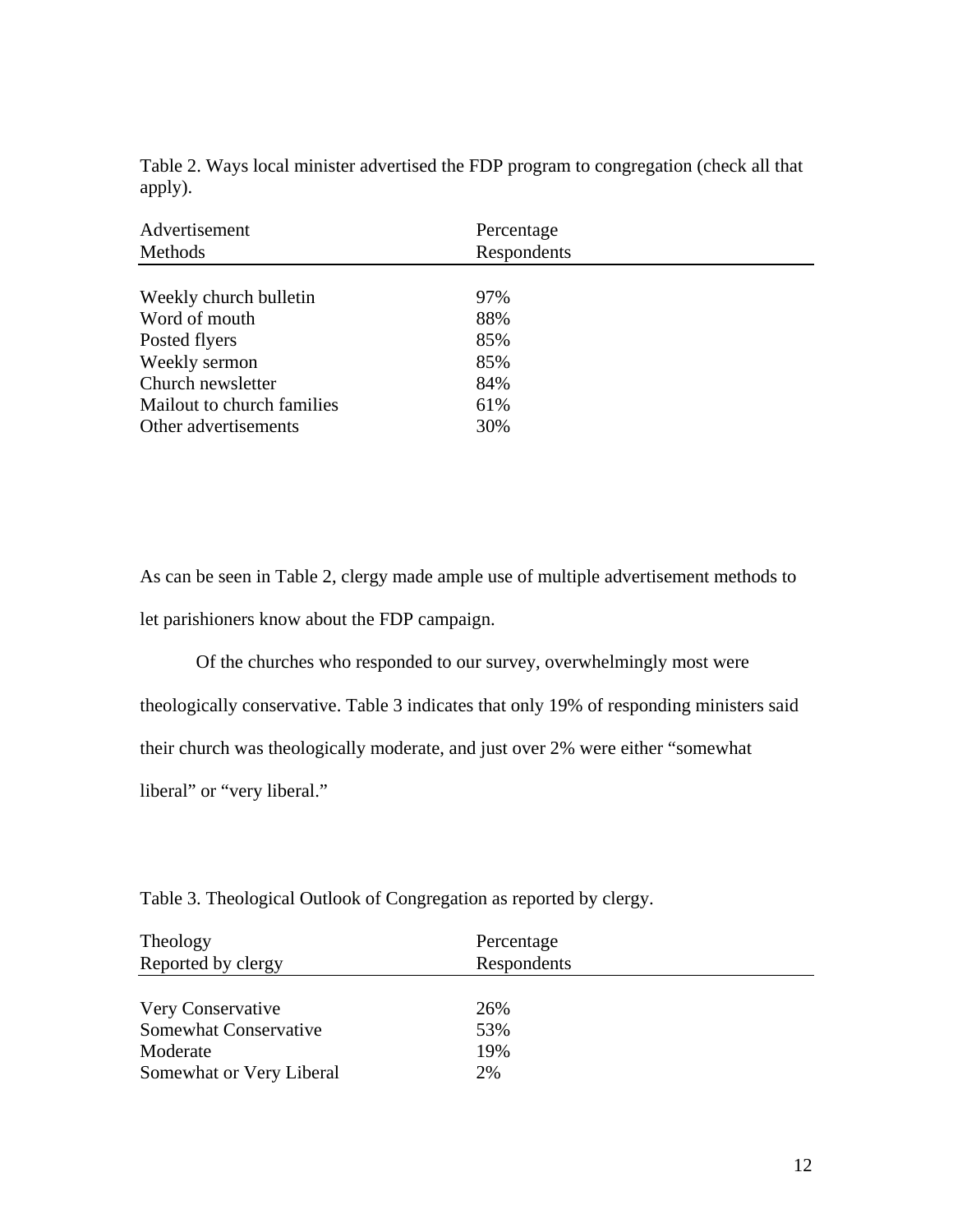Table 2. Ways local minister advertised the FDP program to congregation (check all that apply).

| Advertisement<br>Methods   | Percentage<br>Respondents |  |
|----------------------------|---------------------------|--|
| Weekly church bulletin     | 97%                       |  |
| Word of mouth              | 88%                       |  |
| Posted flyers              | 85%                       |  |
| Weekly sermon              | 85%                       |  |
| Church newsletter          | 84%                       |  |
| Mailout to church families | 61%                       |  |
| Other advertisements       | 30%                       |  |

As can be seen in Table 2, clergy made ample use of multiple advertisement methods to let parishioners know about the FDP campaign.

Of the churches who responded to our survey, overwhelmingly most were theologically conservative. Table 3 indicates that only 19% of responding ministers said their church was theologically moderate, and just over 2% were either "somewhat liberal" or "very liberal."

Table 3. Theological Outlook of Congregation as reported by clergy.

| Theology                 | Percentage  |
|--------------------------|-------------|
| Reported by clergy       | Respondents |
| Very Conservative        | 26%         |
| Somewhat Conservative    | 53%         |
| Moderate                 | 19%         |
| Somewhat or Very Liberal | 2%          |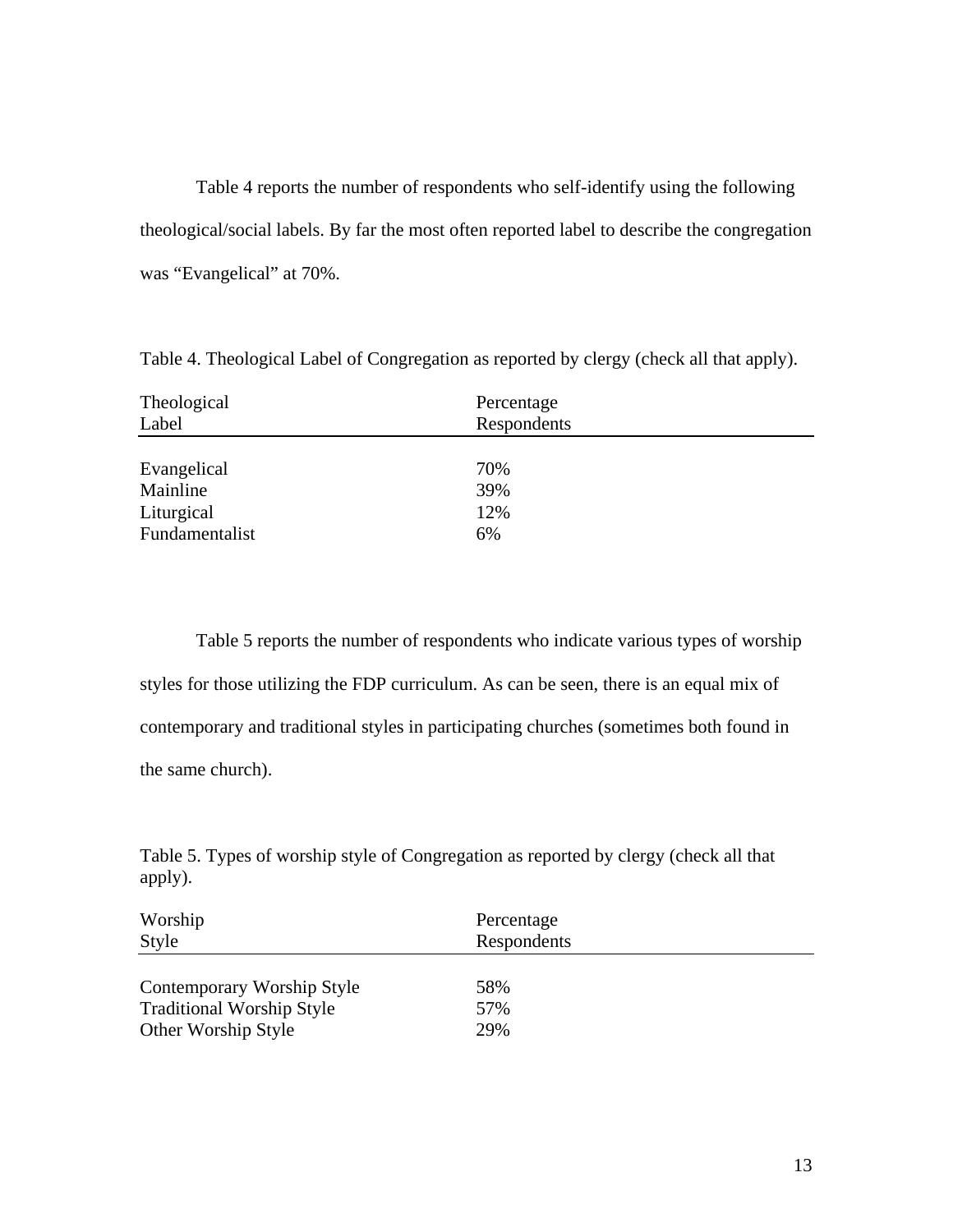Table 4 reports the number of respondents who self-identify using the following theological/social labels. By far the most often reported label to describe the congregation was "Evangelical" at 70%.

Theological Percentage Label Respondents Evangelical 70% Mainline 39% Liturgical 12% Fundamentalist 6%

Table 4. Theological Label of Congregation as reported by clergy (check all that apply).

Table 5 reports the number of respondents who indicate various types of worship styles for those utilizing the FDP curriculum. As can be seen, there is an equal mix of contemporary and traditional styles in participating churches (sometimes both found in the same church).

Table 5. Types of worship style of Congregation as reported by clergy (check all that apply).

| Worship                          | Percentage  |
|----------------------------------|-------------|
| <b>Style</b>                     | Respondents |
| Contemporary Worship Style       | 58%         |
| <b>Traditional Worship Style</b> | 57%         |
| Other Worship Style              | 29%         |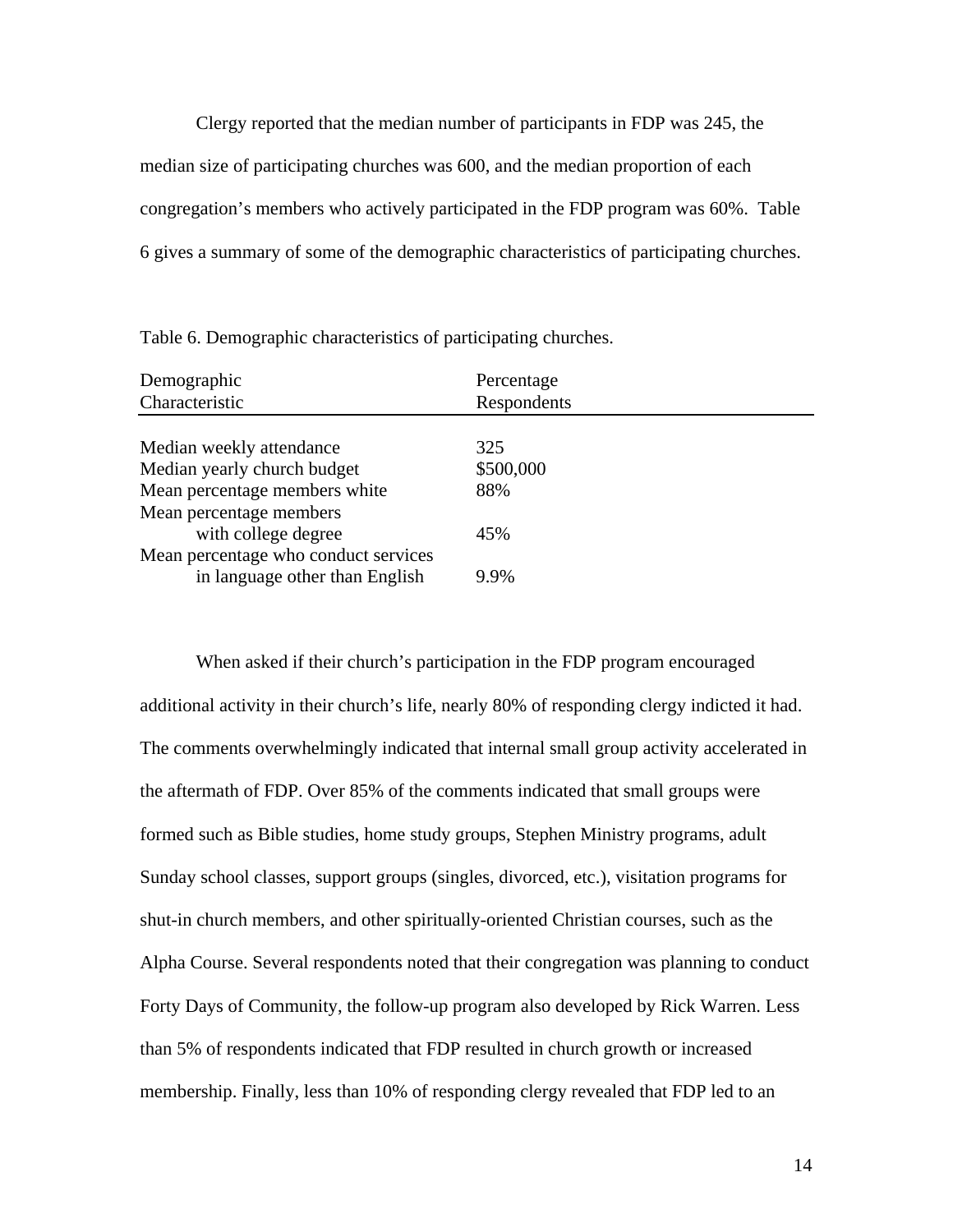Clergy reported that the median number of participants in FDP was 245, the median size of participating churches was 600, and the median proportion of each congregation's members who actively participated in the FDP program was 60%. Table 6 gives a summary of some of the demographic characteristics of participating churches.

Table 6. Demographic characteristics of participating churches.

| Demographic                          | Percentage  |  |
|--------------------------------------|-------------|--|
| Characteristic                       | Respondents |  |
|                                      |             |  |
| Median weekly attendance             | 325         |  |
| Median yearly church budget          | \$500,000   |  |
| Mean percentage members white        | 88%         |  |
| Mean percentage members              |             |  |
| with college degree                  | 45%         |  |
| Mean percentage who conduct services |             |  |
| in language other than English       | $9.9\%$     |  |

When asked if their church's participation in the FDP program encouraged additional activity in their church's life, nearly 80% of responding clergy indicted it had. The comments overwhelmingly indicated that internal small group activity accelerated in the aftermath of FDP. Over 85% of the comments indicated that small groups were formed such as Bible studies, home study groups, Stephen Ministry programs, adult Sunday school classes, support groups (singles, divorced, etc.), visitation programs for shut-in church members, and other spiritually-oriented Christian courses, such as the Alpha Course. Several respondents noted that their congregation was planning to conduct Forty Days of Community, the follow-up program also developed by Rick Warren. Less than 5% of respondents indicated that FDP resulted in church growth or increased membership. Finally, less than 10% of responding clergy revealed that FDP led to an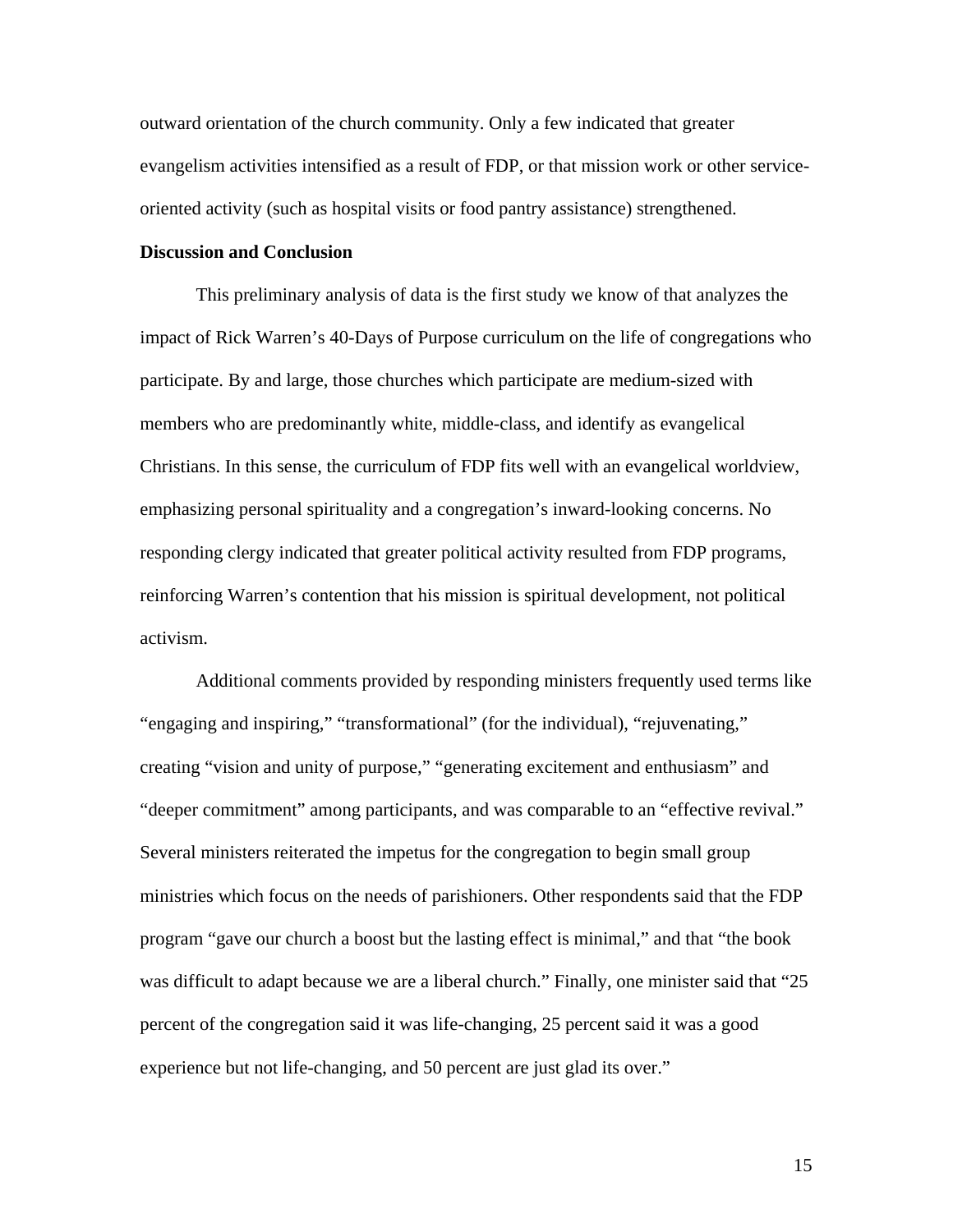outward orientation of the church community. Only a few indicated that greater evangelism activities intensified as a result of FDP, or that mission work or other serviceoriented activity (such as hospital visits or food pantry assistance) strengthened.

### **Discussion and Conclusion**

 This preliminary analysis of data is the first study we know of that analyzes the impact of Rick Warren's 40-Days of Purpose curriculum on the life of congregations who participate. By and large, those churches which participate are medium-sized with members who are predominantly white, middle-class, and identify as evangelical Christians. In this sense, the curriculum of FDP fits well with an evangelical worldview, emphasizing personal spirituality and a congregation's inward-looking concerns. No responding clergy indicated that greater political activity resulted from FDP programs, reinforcing Warren's contention that his mission is spiritual development, not political activism.

 Additional comments provided by responding ministers frequently used terms like "engaging and inspiring," "transformational" (for the individual), "rejuvenating," creating "vision and unity of purpose," "generating excitement and enthusiasm" and "deeper commitment" among participants, and was comparable to an "effective revival." Several ministers reiterated the impetus for the congregation to begin small group ministries which focus on the needs of parishioners. Other respondents said that the FDP program "gave our church a boost but the lasting effect is minimal," and that "the book was difficult to adapt because we are a liberal church." Finally, one minister said that "25 percent of the congregation said it was life-changing, 25 percent said it was a good experience but not life-changing, and 50 percent are just glad its over."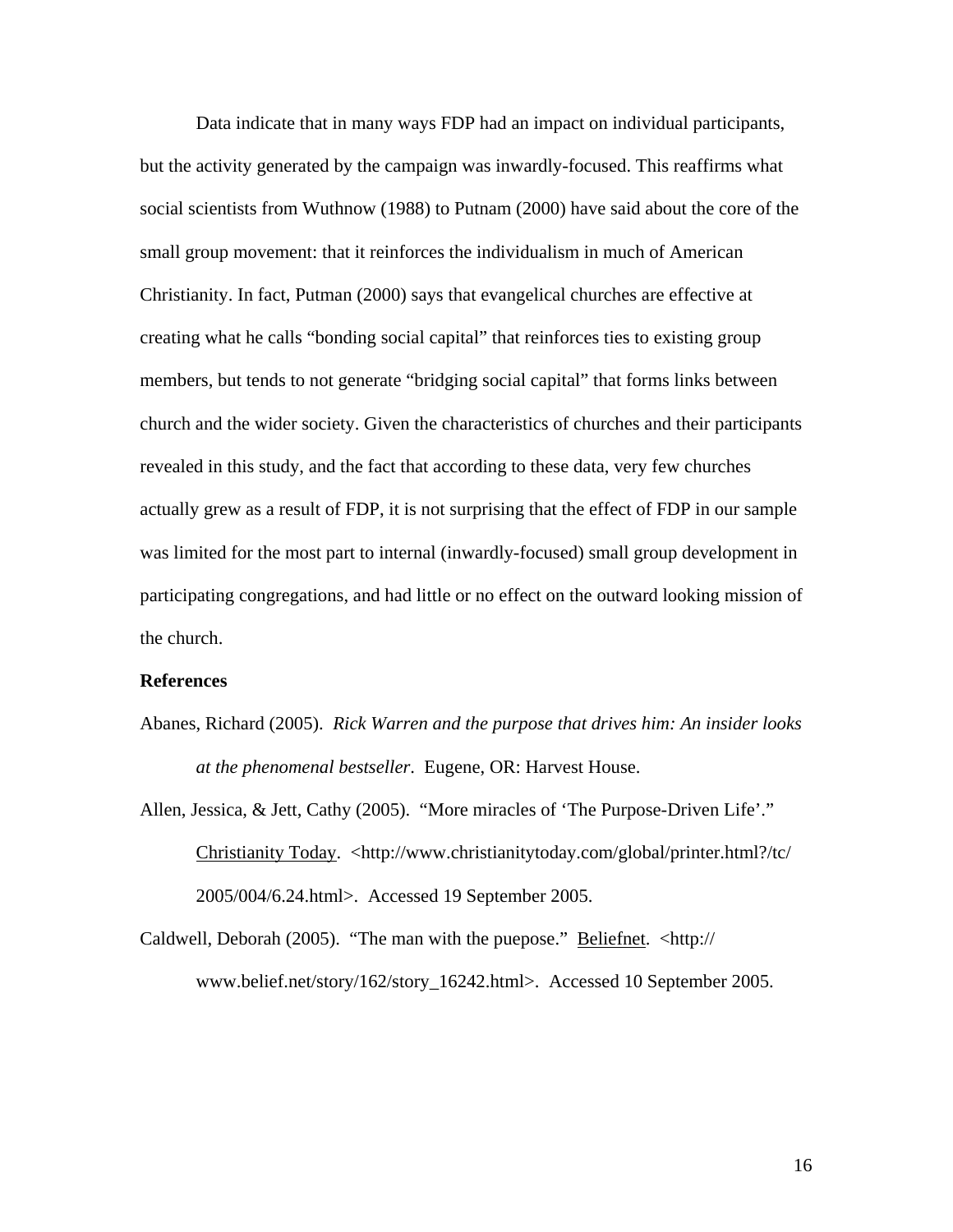Data indicate that in many ways FDP had an impact on individual participants, but the activity generated by the campaign was inwardly-focused. This reaffirms what social scientists from Wuthnow (1988) to Putnam (2000) have said about the core of the small group movement: that it reinforces the individualism in much of American Christianity. In fact, Putman (2000) says that evangelical churches are effective at creating what he calls "bonding social capital" that reinforces ties to existing group members, but tends to not generate "bridging social capital" that forms links between church and the wider society. Given the characteristics of churches and their participants revealed in this study, and the fact that according to these data, very few churches actually grew as a result of FDP, it is not surprising that the effect of FDP in our sample was limited for the most part to internal (inwardly-focused) small group development in participating congregations, and had little or no effect on the outward looking mission of the church.

#### **References**

Abanes, Richard (2005). *Rick Warren and the purpose that drives him: An insider looks at the phenomenal bestseller*. Eugene, OR: Harvest House.

Allen, Jessica, & Jett, Cathy (2005). "More miracles of 'The Purpose-Driven Life'." Christianity Today. <http://www.christianitytoday.com/global/printer.html?/tc/ 2005/004/6.24.html>. Accessed 19 September 2005.

Caldwell, Deborah (2005). "The man with the puepose." Beliefnet. <http:// www.belief.net/story/162/story\_16242.html>. Accessed 10 September 2005.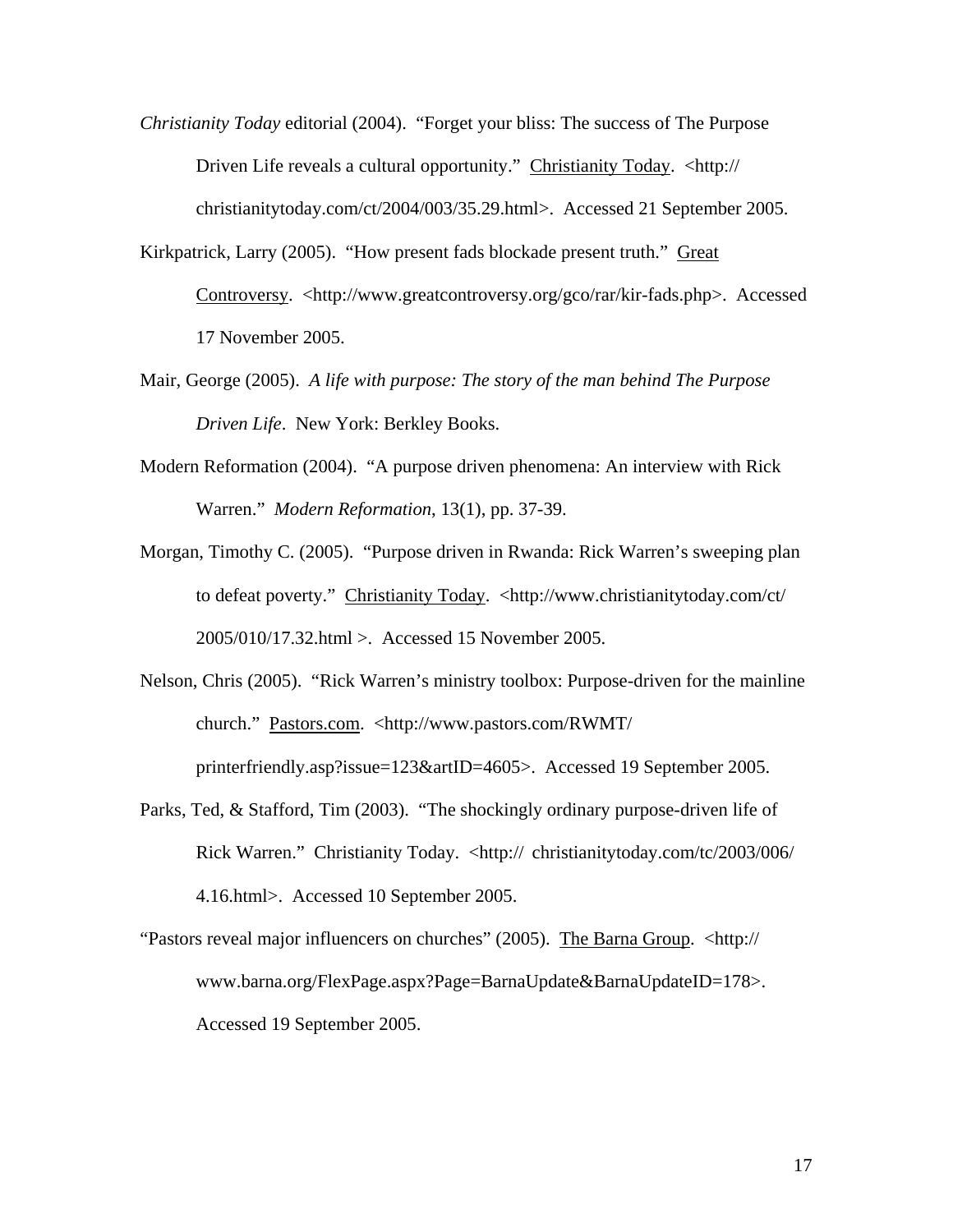- *Christianity Today* editorial (2004). "Forget your bliss: The success of The Purpose Driven Life reveals a cultural opportunity." Christianity Today. <http:// christianitytoday.com/ct/2004/003/35.29.html>. Accessed 21 September 2005.
- Kirkpatrick, Larry (2005). "How present fads blockade present truth." Great Controversy. <http://www.greatcontroversy.org/gco/rar/kir-fads.php>. Accessed 17 November 2005.
- Mair, George (2005). *A life with purpose: The story of the man behind The Purpose Driven Life*. New York: Berkley Books.
- Modern Reformation (2004). "A purpose driven phenomena: An interview with Rick Warren." *Modern Reformation*, 13(1), pp. 37-39.
- Morgan, Timothy C. (2005). "Purpose driven in Rwanda: Rick Warren's sweeping plan to defeat poverty." Christianity Today. <http://www.christianitytoday.com/ct/ 2005/010/17.32.html >. Accessed 15 November 2005.
- Nelson, Chris (2005). "Rick Warren's ministry toolbox: Purpose-driven for the mainline church." Pastors.com. <http://www.pastors.com/RWMT/ printerfriendly.asp?issue=123&artID=4605>. Accessed 19 September 2005.
- Parks, Ted, & Stafford, Tim (2003). "The shockingly ordinary purpose-driven life of Rick Warren." Christianity Today. <http:// christianitytoday.com/tc/2003/006/ 4.16.html>. Accessed 10 September 2005.
- "Pastors reveal major influencers on churches" (2005). The Barna Group. <http:// www.barna.org/FlexPage.aspx?Page=BarnaUpdate&BarnaUpdateID=178>. Accessed 19 September 2005.